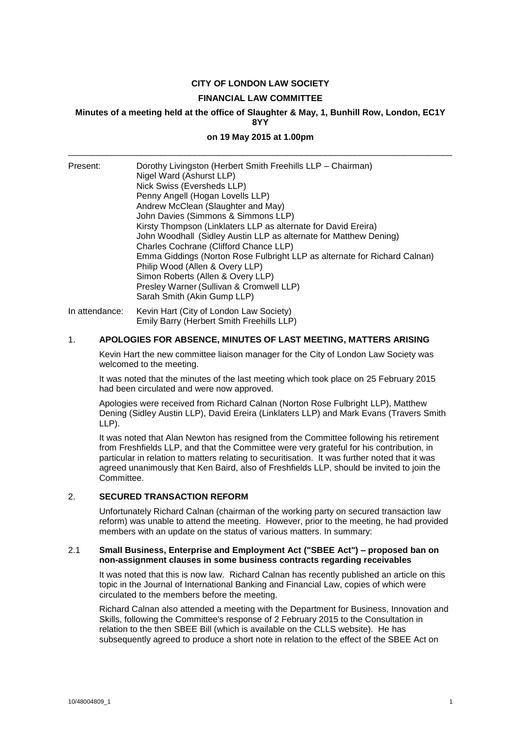## **CITY OF LONDON LAW SOCIETY**

#### **FINANCIAL LAW COMMITTEE**

#### **Minutes of a meeting held at the office of Slaughter & May, 1, Bunhill Row, London, EC1Y 8YY**

# **on 19 May 2015 at 1.00pm** \_\_\_\_\_\_\_\_\_\_\_\_\_\_\_\_\_\_\_\_\_\_\_\_\_\_\_\_\_\_\_\_\_\_\_\_\_\_\_\_\_\_\_\_\_\_\_\_\_\_\_\_\_\_\_\_\_\_\_\_\_\_\_\_\_\_\_\_\_\_\_\_\_\_\_\_\_\_\_

| Present:       | Dorothy Livingston (Herbert Smith Freehills LLP - Chairman)<br>Nigel Ward (Ashurst LLP)<br>Nick Swiss (Eversheds LLP)<br>Penny Angell (Hogan Lovells LLP)<br>Andrew McClean (Slaughter and May)<br>John Davies (Simmons & Simmons LLP)<br>Kirsty Thompson (Linklaters LLP as alternate for David Ereira)<br>John Woodhall (Sidley Austin LLP as alternate for Matthew Dening)<br>Charles Cochrane (Clifford Chance LLP)<br>Emma Giddings (Norton Rose Fulbright LLP as alternate for Richard Calnan)<br>Philip Wood (Allen & Overy LLP)<br>Simon Roberts (Allen & Overy LLP)<br>Presley Warner (Sullivan & Cromwell LLP)<br>Sarah Smith (Akin Gump LLP) |
|----------------|---------------------------------------------------------------------------------------------------------------------------------------------------------------------------------------------------------------------------------------------------------------------------------------------------------------------------------------------------------------------------------------------------------------------------------------------------------------------------------------------------------------------------------------------------------------------------------------------------------------------------------------------------------|
| In attendance: | Kevin Hart (City of London Law Society)<br>Emily Barry (Herbert Smith Freehills LLP)                                                                                                                                                                                                                                                                                                                                                                                                                                                                                                                                                                    |

## 1. **APOLOGIES FOR ABSENCE, MINUTES OF LAST MEETING, MATTERS ARISING**

Kevin Hart the new committee liaison manager for the City of London Law Society was welcomed to the meeting.

It was noted that the minutes of the last meeting which took place on 25 February 2015 had been circulated and were now approved.

Apologies were received from Richard Calnan (Norton Rose Fulbright LLP), Matthew Dening (Sidley Austin LLP), David Ereira (Linklaters LLP) and Mark Evans (Travers Smith LLP).

It was noted that Alan Newton has resigned from the Committee following his retirement from Freshfields LLP, and that the Committee were very grateful for his contribution, in particular in relation to matters relating to securitisation. It was further noted that it was agreed unanimously that Ken Baird, also of Freshfields LLP, should be invited to join the Committee.

## 2. **SECURED TRANSACTION REFORM**

Unfortunately Richard Calnan (chairman of the working party on secured transaction law reform) was unable to attend the meeting. However, prior to the meeting, he had provided members with an update on the status of various matters. In summary:

## 2.1 **Small Business, Enterprise and Employment Act ("SBEE Act") – proposed ban on non-assignment clauses in some business contracts regarding receivables**

It was noted that this is now law. Richard Calnan has recently published an article on this topic in the Journal of International Banking and Financial Law, copies of which were circulated to the members before the meeting.

Richard Calnan also attended a meeting with the Department for Business, Innovation and Skills, following the Committee's response of 2 February 2015 to the Consultation in relation to the then SBEE Bill (which is available on the CLLS website). He has subsequently agreed to produce a short note in relation to the effect of the SBEE Act on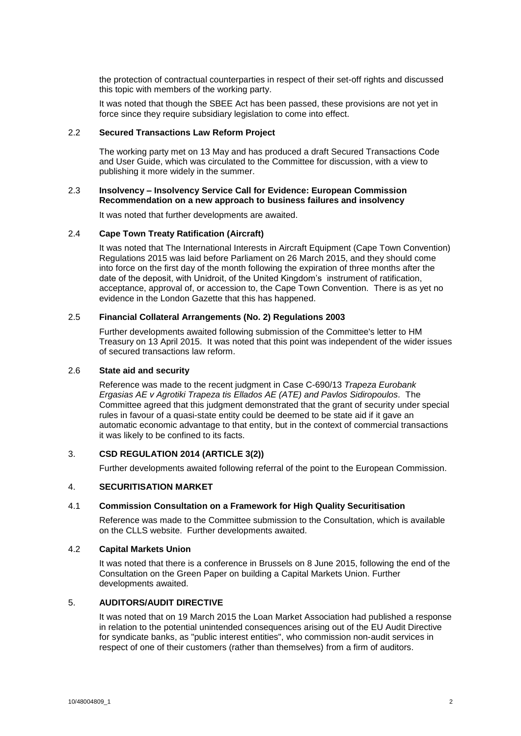the protection of contractual counterparties in respect of their set-off rights and discussed this topic with members of the working party.

It was noted that though the SBEE Act has been passed, these provisions are not yet in force since they require subsidiary legislation to come into effect.

#### 2.2 **Secured Transactions Law Reform Project**

The working party met on 13 May and has produced a draft Secured Transactions Code and User Guide, which was circulated to the Committee for discussion, with a view to publishing it more widely in the summer.

## 2.3 **Insolvency – Insolvency Service Call for Evidence: European Commission Recommendation on a new approach to business failures and insolvency**

It was noted that further developments are awaited.

## 2.4 **Cape Town Treaty Ratification (Aircraft)**

It was noted that The International Interests in Aircraft Equipment (Cape Town Convention) Regulations 2015 was laid before Parliament on 26 March 2015, and they should come into force on the first day of the month following the expiration of three months after the date of the deposit, with Unidroit, of the United Kingdom's instrument of ratification, acceptance, approval of, or accession to, the Cape Town Convention. There is as yet no evidence in the London Gazette that this has happened.

## 2.5 **Financial Collateral Arrangements (No. 2) Regulations 2003**

Further developments awaited following submission of the Committee's letter to HM Treasury on 13 April 2015. It was noted that this point was independent of the wider issues of secured transactions law reform.

#### 2.6 **State aid and security**

Reference was made to the recent judgment in Case C-690/13 *Trapeza Eurobank Ergasias AE v Agrotiki Trapeza tis Ellados AE (ATE) and Pavlos Sidiropoulos.* The Committee agreed that this judgment demonstrated that the grant of security under special rules in favour of a quasi-state entity could be deemed to be state aid if it gave an automatic economic advantage to that entity, but in the context of commercial transactions it was likely to be confined to its facts.

## 3. **CSD REGULATION 2014 (ARTICLE 3(2))**

Further developments awaited following referral of the point to the European Commission.

## 4. **SECURITISATION MARKET**

#### 4.1 **Commission Consultation on a Framework for High Quality Securitisation**

Reference was made to the Committee submission to the Consultation, which is available on the CLLS website. Further developments awaited.

#### 4.2 **Capital Markets Union**

It was noted that there is a conference in Brussels on 8 June 2015, following the end of the Consultation on the Green Paper on building a Capital Markets Union. Further developments awaited.

## 5. **AUDITORS/AUDIT DIRECTIVE**

It was noted that on 19 March 2015 the Loan Market Association had published a response in relation to the potential unintended consequences arising out of the EU Audit Directive for syndicate banks, as "public interest entities", who commission non-audit services in respect of one of their customers (rather than themselves) from a firm of auditors.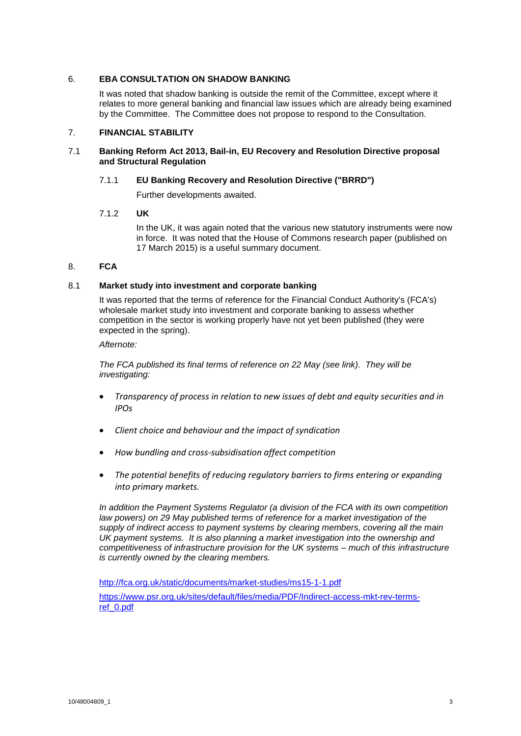## 6. **EBA CONSULTATION ON SHADOW BANKING**

It was noted that shadow banking is outside the remit of the Committee, except where it relates to more general banking and financial law issues which are already being examined by the Committee. The Committee does not propose to respond to the Consultation.

## 7. **FINANCIAL STABILITY**

## 7.1 **Banking Reform Act 2013, Bail-in, EU Recovery and Resolution Directive proposal and Structural Regulation**

## 7.1.1 **EU Banking Recovery and Resolution Directive ("BRRD")**

Further developments awaited.

## 7.1.2 **UK**

In the UK, it was again noted that the various new statutory instruments were now in force. It was noted that the House of Commons research paper (published on 17 March 2015) is a useful summary document.

## 8. **FCA**

## 8.1 **Market study into investment and corporate banking**

It was reported that the terms of reference for the Financial Conduct Authority's (FCA's) wholesale market study into investment and corporate banking to assess whether competition in the sector is working properly have not yet been published (they were expected in the spring).

*Afternote:*

*The FCA published its final terms of reference on 22 May (see link). They will be investigating:*

- *Transparency of process in relation to new issues of debt and equity securities and in IPOs*
- *Client choice and behaviour and the impact of syndication*
- *How bundling and cross-subsidisation affect competition*
- *The potential benefits of reducing regulatory barriers to firms entering or expanding into primary markets.*

*In addition the Payment Systems Regulator (a division of the FCA with its own competition law powers) on 29 May published terms of reference for a market investigation of the supply of indirect access to payment systems by clearing members, covering all the main UK payment systems. It is also planning a market investigation into the ownership and competitiveness of infrastructure provision for the UK systems – much of this infrastructure is currently owned by the clearing members.*

<http://fca.org.uk/static/documents/market-studies/ms15-1-1.pdf> [https://www.psr.org.uk/sites/default/files/media/PDF/Indirect-access-mkt-rev-terms](https://www.psr.org.uk/sites/default/files/media/PDF/Indirect-access-mkt-rev-terms-ref_0.pdf)[ref\\_0.pdf](https://www.psr.org.uk/sites/default/files/media/PDF/Indirect-access-mkt-rev-terms-ref_0.pdf)